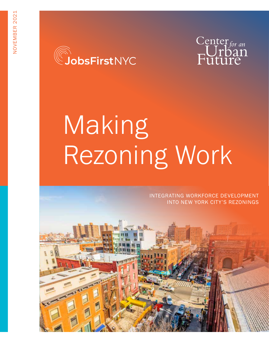



# Making Rezoning Work

 INTEGRATING WORKFORCE DEVELOPMENT INTO NEW YORK CITY'S REZONINGS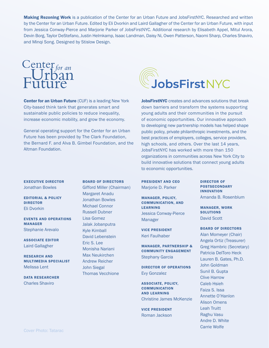Making Rezoning Work is a publication of the Center for an Urban Future and JobsFirstNYC. Researched and written by the Center for an Urban Future. Edited by Eli Dvorkin and Laird Gallagher of the Center for an Urban Future, with input from Jessica Conway-Pierce and Marjorie Parker of JobsFirstNYC. Additional research by Elisabeth Appel, Mitul Arora, Devin Borg, Taylor DeStefano, Justin Helmkamp, Isaac Landman, Daisy Ni, Owen Patterson, Naomi Sharp, Charles Shaviro, and Minqi Song. Designed by Stislow Design.



**Center for an Urban Future (CUF) is a leading New York** City-based think tank that generates smart and sustainable public policies to reduce inequality, increase economic mobility, and grow the economy.

General operating support for the Center for an Urban Future has been provided by The Clark Foundation, the Bernard F. and Alva B. Gimbel Foundation, and the Altman Foundation.



JobsFirstNYC creates and advances solutions that break down barriers and transform the systems supporting young adults and their communities in the pursuit of economic opportunities. Our innovative approach to developing new partnership models has helped shape public policy, private philanthropic investments, and the best practices of employers, colleges, service providers, high schools, and others. Over the last 14 years, JobsFirstNYC has worked with more than 150 organizations in communities across New York City to build innovative solutions that connect young adults to economic opportunities.

PRESIDENT AND CEO Marjorie D. Parker

MANAGER, POLICY, COMMUNICATION, AND LEARNING Jessica Conway-Pierce Manager

VICE PRESIDENT Keri Faulhaber

MANAGER, PARTNERSHIP & COMMUNITY ENGAGEMENT Stephany Garcia

DIRECTOR OF OPERATIONS Evy Gonzalez

ASSOCIATE, POLICY, **COMMUNICATION** AND LEARNING Christine James McKenzie

VICE PRESIDENT Roman Jackson

DIRECTOR OF POSTSECONDARY INNOVATION Amanda B. Rosenblum

MANAGER, WORK **SOLUTIONS** David Scott

BOARD OF DIRECTORS Alan Momeyer (Chair) Angela Ortiz (Treasurer) Greg Hambric (Secretary) Patricia DelToro Heck Lauren B. Gates, Ph.D. John Goldman Sunil B. Gupta Clive Harrow Caleb Hsieh Faiza S. Issa Annette O'Hanlon Alison Omens Leah Truitt Raghu Vasu Andre D. White Carrie Wolfe

## EXECUTIVE DIRECTOR

Jonathan Bowles

EDITORIAL & POLICY DIRECTOR Eli Dvorkin

EVENTS AND OPERATIONS MANAGER Stephanie Arevalo

ASSOCIATE EDITOR Laird Gallagher

RESEARCH AND MULTIMEDIA SPECIALIST Melissa Lent

DATA RESEARCHER Charles Shaviro

Gifford Miller (Chairman) Margaret Anadu Jonathan Bowles Michael Connor Russell Dubner Lisa Gomez Jalak Jobanputra Kyle Kimball David Lebenstein Eric S. Lee Monisha Nariani Max Neukirchen Andrew Reicher John Siegal Thomas Vecchione

BOARD OF DIRECTORS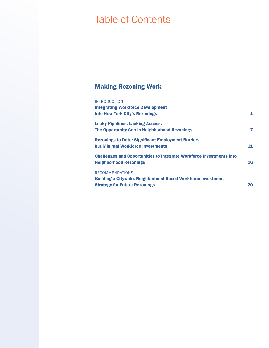# Table of Contents

## Making Rezoning Work

#### INTRODUCTION

| <b>Integrating Workforce Development</b>                                    |    |
|-----------------------------------------------------------------------------|----|
| <b>Into New York City's Rezonings</b>                                       | 1  |
| <b>Leaky Pipelines, Lacking Access:</b>                                     |    |
| The Opportunity Gap in Neighborhood Rezonings                               | 7  |
| <b>Rezonings to Date: Significant Employment Barriers</b>                   |    |
| <b>but Minimal Workforce Investments</b>                                    | 11 |
| <b>Challenges and Opportunities to Integrate Workforce Investments into</b> |    |
| <b>Neighborhood Rezonings</b>                                               | 16 |
| <b>RECOMMENDATIONS</b>                                                      |    |
| <b>Building a Citywide, Neighborhood-Based Workforce Investment</b>         |    |
| <b>Strategy for Future Rezonings</b>                                        | 20 |
|                                                                             |    |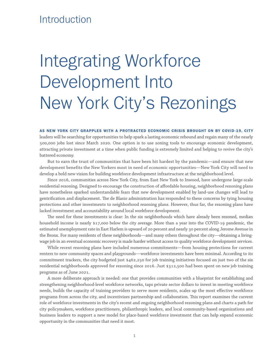## **Introduction**

# Integrating Workforce Development Into New York City's Rezonings

AS NEW YORK CITY GRAPPLES WITH A PROTRACTED ECONOMIC CRISIS BROUGHT ON BY COVID-19, CITY leaders will be searching for opportunities to help spark a lasting economic rebound and regain many of the nearly 500,000 jobs lost since March 2020. One option is to use zoning tools to encourage economic development, attracting private investment at a time when public funding is extremely limited and helping to revive the city's battered economy.

But to earn the trust of communities that have been hit hardest by the pandemic—and ensure that new development benefits the New Yorkers most in need of economic opportunities—New York City will need to develop a bold new vision for building workforce development infrastructure at the neighborhood level.

Since 2016, communities across New York City, from East New York to Inwood, have undergone large-scale residential rezoning. Designed to encourage the construction of affordable housing, neighborhood rezoning plans have nonetheless sparked understandable fears that new development enabled by land-use changes will lead to gentrification and displacement. The de Blasio administration has responded to these concerns by tying housing protections and other investments to neighborhood rezoning plans. However, thus far, the rezoning plans have lacked investment and accountability around local workforce development.

The need for these investments is clear: In the six neighborhoods which have already been rezoned, median household income is nearly \$17,000 below the city average. More than a year into the COVID-19 pandemic, the estimated unemployment rate in East Harlem is upward of 20 percent and nearly 30 percent along Jerome Avenue in the Bronx. For many residents of these neighborhoods—and many others throughout the city—obtaining a livingwage job in an eventual economic recovery is made harder without access to quality workforce development services.

While recent rezoning plans have included numerous commitments—from housing protections for current renters to new community spaces and playgrounds—workforce investments have been minimal. According to its commitment trackers, the city budgeted just \$462,250 for job training initiatives focused on just two of the six residential neighborhoods approved for rezoning since 2016. Just \$312,500 had been spent on new job training programs as of June 2021.

A more deliberate approach is needed: one that provides communities with a blueprint for establishing and strengthening neighborhood-level workforce networks, taps private sector dollars to invest in meeting workforce needs, builds the capacity of training providers to serve more residents, scales up the most effective workforce programs from across the city, and incentivizes partnership and collaboration. This report examines the current role of workforce investments in the city's recent and ongoing neighborhood rezoning plans and charts a path for city policymakers, workforce practitioners, philanthropic leaders, and local community-based organizations and business leaders to support a new model for place-based workforce investment that can help expand economic opportunity in the communities that need it most.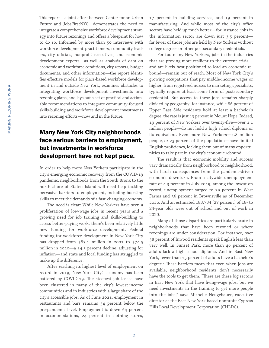This report—a joint effort between Center for an Urban Future and JobsFirstNYC—demonstrates the need to integrate a comprehensive workforce development strategy into future rezonings and offers a blueprint for how to do so. Informed by more than 50 interviews with workforce development practitioners, community leaders, city officials, nonprofit executives, and economic development experts—as well as analysis of data on economic and workforce conditions, city reports, budget documents, and other information—the report identifies effective models for place-based workforce development in and outside New York, examines obstacles to integrating workforce development investments into rezoning plans, and lays out a set of practical and actionable recommendations to integrate community-focused skills-building and workforce development investments into rezoning efforts—now and in the future.

## Many New York City neighborhoods face serious barriers to employment, but investments in workforce development have not kept pace.

In order to help more New Yorkers participate in the city's emerging economic recovery from the COVID-19 pandemic, neighborhoods from the South Bronx to the north shore of Staten Island will need help tackling pervasive barriers to employment, including boosting skills to meet the demands of a fast-changing economy.

The need is clear: While New Yorkers have seen a proliferation of low-wage jobs in recent years and a growing need for job training and skills-building to access better-paying work, there's been relatively little new funding for workforce development. Federal funding for workforce development in New York City has dropped from \$87.1 million in 2001 to \$74.5 million in 2020—a 14.5 percent decline, adjusting for inflation—and state and local funding has struggled to make up the difference.

After reaching its highest level of employment on record in 2019, New York City's economy has been battered by COVID-19. The steepest job losses have been clustered in many of the city's lowest-income communities and in industries with a large share of the city's accessible jobs. As of June 2021, employment in restaurants and bars remains 34 percent below the pre-pandemic level. Employment is down 64 percent in accommodations, 24 percent in clothing stores,

17 percent in building services, and 19 percent in manufacturing. And while most of the city's office sectors have held up much better—for instance, jobs in the information sector are down just 3.5 percent far fewer of those jobs are held by New Yorkers without college degrees or other postsecondary credentials.

For too many New Yorkers, jobs in the industries that are proving more resilient to the current crisis and are likely best positioned to lead an economic rebound—remain out of reach. Most of New York City's growing occupations that pay middle-income wages or higher, from registered nurses to marketing specialists, typically require at least some form of postsecondary credential. But access to these jobs remains sharply divided by geography: for instance, while 86 percent of Upper East Side residents hold at least a bachelor's degree, the rate is just 13 percent in Mount Hope. Indeed, 19 percent of New Yorkers over twenty-five—over 1.1 million people—do not hold a high school diploma or its equivalent. Even more New Yorkers—1.8 million people, or 23 percent of the population—have limited English proficiency, locking them out of many opportunities to take part in the city's economic rebound.

The result is that economic mobility and success vary dramatically from neighborhood to neighborhood, with harsh consequences from the pandemic-driven economic downturn. From a citywide unemployment rate of 4.3 percent in July 2019, among the lowest on record, unemployment surged to 29 percent in West Farms and 36 percent in Brownsville as of December 2020. And an estimated 183,734 (27 percent) of 18- to 24-year olds were out of school and out of work in 2020.1

Many of those disparities are particularly acute in neighborhoods that have been rezoned or where rezonings are under consideration. For instance, over 38 percent of Inwood residents speak English less than very well. In Sunset Park, more than 46 percent of adults lack a high school diploma. And in East New York, fewer than 15 percent of adults have a bachelor's degree.2 These barriers mean that even when jobs are available, neighborhood residents don't necessarily have the tools to get them. "There are these big sectors in East New York that have living-wage jobs, but we need investments in the training to get more people into the jobs," says Michelle Neugebauer, executive director at the East New York-based nonprofit Cypress Hills Local Development Corporation (CHLDC).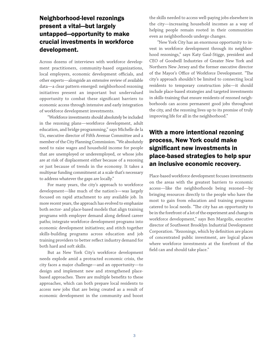## Neighborhood-level rezonings present a vital—but largely untapped—opportunity to make crucial investments in workforce development.

Across dozens of interviews with workforce development practitioners, community-based organizations, local employers, economic development officials, and other experts—alongside an extensive review of available data—a clear pattern emerged: neighborhood rezoning initiatives present an important but undervalued opportunity to combat these significant barriers to economic access through intensive and early integration of workforce development investments.

"Workforce investments should absolutely be included in the rezoning plans—workforce development, adult education, and bridge programming," says Michelle de la Uz, executive director of Fifth Avenue Committee and a member of the City Planning Commission. "We absolutely need to raise wages and household income for people that are unemployed or underemployed, or whose jobs are at risk of displacement either because of a rezoning or just because of trends in the economy. It takes a multiyear funding commitment at a scale that's necessary to address whatever the gaps are locally."

For many years, the city's approach to workforce development—like much of the nation's—was largely focused on rapid attachment to any available job. In more recent years, the approach has evolved to emphasize both sector- and place-based models that align training programs with employer demand along defined career paths; integrate workforce development programs into economic development initiatives; and stitch together skills-building programs across education and job training providers to better reflect industry demand for both hard and soft skills.

But as New York City's workforce development needs explode amid a protracted economic crisis, the city faces a major challenge—and an opportunity—to design and implement new and strengthened placebased approaches. There are multiple benefits to these approaches, which can both prepare local residents to access new jobs that are being created as a result of economic development in the community and boost the skills needed to access well-paying jobs elsewhere in the city—increasing household incomes as a way of helping people remain rooted in their communities even as neighborhoods undergo changes.

"New York City has an enormous opportunity to invest in workforce development through its neighborhood rezonings," says Katy Gaul-Stigge, president and CEO of Goodwill Industries of Greater New York and Northern New Jersey and the former executive director of the Mayor's Office of Workforce Development. "The city's approach shouldn't be limited to connecting local residents to temporary construction jobs—it should include place-based strategies and targeted investments in skills-training that ensure residents of rezoned neighborhoods can access permanent good jobs throughout the city, and the rezoning lives up to its promise of truly improving life for all in the neighborhood."

## With a more intentional rezoning process, New York could make significant new investments in place-based strategies to help spur an inclusive economic recovery.

Place-based workforce development focuses investments on the areas with the greatest barriers to economic access—like the neighborhoods being rezoned—by bringing resources directly to the people who have the most to gain from education and training programs catered to local needs. "The city has an opportunity to be in the forefront of a lot of the experiment and change in workforce development," says Ben Margolis, executive director of Southwest Brooklyn Industrial Development Corporation. "Rezonings, which by definition are places of concentrated public investment, are logical places where workforce investments at the forefront of the field can and should take place."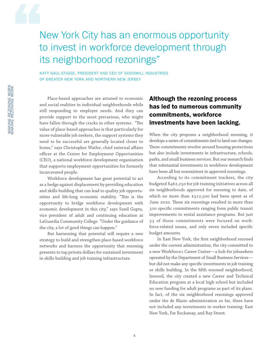# New York City has an enormous opportunity to invest in workforce development through its neighborhood rezonings"

KATY GAUL-STIGGE, PRESIDENT AND CEO OF GOODWILL INDUSTRIES OF GREATER NEW YORK AND NORTHERN NEW JERSEY

Place-based approaches are attuned to economic and social realities in individual neighborhoods while still responding to employer needs. And they can provide support to the most precarious, who might have fallen through the cracks in other systems. "The value of place-based approaches is that particularly for more vulnerable job seekers, the support systems they need to be successful are generally located closer to home," says Christopher Watler, chief external affairs officer at the Center for Employment Opportunities (CEO), a national workforce development organization that supports employment opportunities for formerly incarcerated people.

Workforce development has great potential to act as a hedge against displacement by providing education and skills-building that can lead to quality job opportunities and life-long economic stability. "This is the opportunity to bridge workforce development with economic development in this city," says Sunil Gupta, vice president of adult and continuing education at LaGuardia Community College. "Under the guidance of the city, a lot of good things can happen."

But harnessing that potential will require a new strategy to build and strengthen place-based workforce networks and harness the opportunity that rezoning presents to tap private dollars for sustained investment in skills-building and job training infrastructure.

## Although the rezoning process has led to numerous community commitments, workforce investments have been lacking.

When the city proposes a neighborhood rezoning, it develops a series of commitments tied to land-use changes. These commitments revolve around housing protections but also include investments in infrastructure, schools, parks, and small business services. But our research finds that substantial investments in workforce development have been all but nonexistent in approved rezonings.

According to its commitment trackers, the city budgeted \$462,250 for job training initiatives across all six neighborhoods approved for rezoning to date, of which no more than \$312,500 had been spent as of June 2020. These six rezonings resulted in more than 320 specific commitments ranging from public transit improvements to rental assistance programs. But just 33 of those commitments were focused on workforce-related issues, and only seven included specific budget amounts.

In East New York, the first neighborhood rezoned under the current administration, the city committed to a new Workforce1 Career Center—a hub for jobseekers operated by the Department of Small Business Services but did not make any specific investments in job training or skills building. In the fifth rezoned neighborhood, Inwood, the city created a new Career and Technical Education program at a local high school but included no new funding for adult programs as part of its plans. In fact, of the six neighborhood rezonings approved under the de Blasio administration so far, three have not included any investments in worker training: East New York, Far Rockaway, and Bay Street.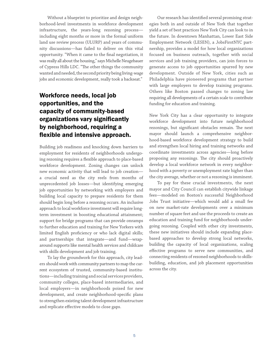Without a blueprint to prioritize and design neighborhood-level investments in workforce development infrastructure, the years-long rezoning process including eight months or more in the formal uniform land use review process (ULURP) and years of community discussions—has failed to deliver on this vital opportunity. "When it came to the final negotiation, it was really all about the housing," says Michelle Neugebauer of Cypress Hills LDC. "The other things the community wanted and needed, the second priority being living-wage jobs and economic development, really took a backseat."

## Workforce needs, local job opportunities, and the capacity of community-based organizations vary significantly by neighborhood, requiring a flexible and intensive approach.

Building job readiness and knocking down barriers to employment for residents of neighborhoods undergoing rezoning requires a flexible approach to place-based workforce development. Zoning changes can unlock new economic activity that will lead to job creation a crucial need as the city reels from months of unprecedented job losses—but identifying emerging job opportunities by networking with employers and building local capacity to prepare residents for them should begin long before a rezoning occurs. An inclusive approach to local workforce investment will require longterm investment in boosting educational attainment; support for bridge programs that can provide onramps to further education and training for New Yorkers with limited English proficiency or who lack digital skills; and partnerships that integrate—and fund—wraparound supports like mental health services and childcare with skills development and job training.

To lay the groundwork for this approach, city leaders should work with community partners to map the current ecosystem of trusted, community-based institutions—including training and social services providers, community colleges, place-based intermediaries, and local employers—in neighborhoods poised for new development, and create neighborhood-specific plans to strengthen existing talent development infrastructure and replicate effective models to close gaps.

Our research has identified several promising strategies both in and outside of New York that together yield a set of best practices New York City can look to in the future. In downtown Manhattan, Lower East Side Employment Network (LESEN), a JobsFirstNYC partnership, provides a model for how local organizations focused on business outreach, together with social services and job training providers, can join forces to generate access to job opportunities spurred by new development. Outside of New York, cities such as Philadelphia have pioneered programs that partner with large employers to develop training programs. Others like Boston passed changes to zoning law requiring all developments of a certain scale to contribute funding for education and training.

New York City has a clear opportunity to integrate workforce development into future neighborhood rezonings, but significant obstacles remain. The next mayor should launch a comprehensive neighborhood-based workforce development strategy to build and strengthen local hiring and training networks and coordinate investments across agencies—long before proposing any rezonings. The city should proactively develop a local workforce network in every neighborhood with a poverty or unemployment rate higher than the city average, whether or not a rezoning is imminent.

To pay for these crucial investments, the next mayor and City Council can establish citywide linkage fees—modeled on Boston's successful Neighborhood Jobs Trust initiative—which would add a small fee on new market-rate developments over a minimum number of square feet and use the proceeds to create an education and training fund for neighborhoods undergoing rezoning. Coupled with other city investments, these new initiatives should include expanding placebased approaches to develop strong local networks, building the capacity of local organizations, scaling effective programs to serve new communities, and connecting residents of rezoned neighborhoods to skillsbuilding, education, and job placement opportunities across the city.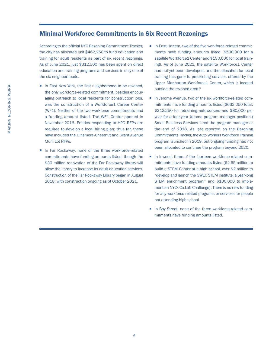### Minimal Workforce Commitments in Six Recent Rezonings

According to the official NYC Rezoning Commitment Tracker, the city has allocated just \$462,250 to fund education and training for adult residents as part of six recent rezonings. As of June 2021, just \$312,500 has been spent on direct education and training programs and services in only one of the six neighborhoods.

- In East New York, the first neighborhood to be rezoned, the only workforce-related commitment, besides encouraging outreach to local residents for construction jobs, was the construction of a Workforce1 Career Center (WF1). Neither of the two workforce commitments had a funding amount listed. The WF1 Center opened in November 2016. Entities responding to HPD RFPs are required to develop a local hiring plan; thus far, these have included the Dinsmore-Chestnut and Grant Avenue Muni Lot RFPs.
- In Far Rockaway, none of the three workforce-related commitments have funding amounts listed, though the \$30 million renovation of the Far Rockaway library will allow the library to increase its adult education services. Construction of the Far Rockaway Library began in August 2018, with construction ongoing as of October 2021.
- In East Harlem, two of the five workforce-related commitments have funding amounts listed (\$500,000 for a satellite Workforce1 Center and \$150,000 for local training). As of June 2021, the satellite Workforce1 Center had not yet been developed, and the allocation for local training has gone to preexisting services offered by the Upper Manhattan Workforce1 Center, which is located outside the rezoned area.<sup>3</sup>
- In Jerome Avenue, two of the six workforce-related commitments have funding amounts listed (\$632,250 total: \$312,250 for retraining autoworkers and \$80,000 per year for a four-year Jerome program manager position.) Small Business Services hired the program manager at the end of 2018. As last reported on the Rezoning Commitments Tracker, the Auto Workers Workforce Training program launched in 2019, but ongoing funding had not been allocated to continue the program beyond 2020.
- In Inwood, three of the fourteen workforce-related commitments have funding amounts listed (\$2.65 million to build a STEM Center at a high school, over \$2 million to "develop and launch the GWEC STEM Institute, a year-long STEM enrichment program," and \$100,000 to implement an NYCx Co-Lab Challenge). There is no new funding for any workforce-related programs or services for people not attending high school.
- In Bay Street, none of the three workforce-related commitments have funding amounts listed.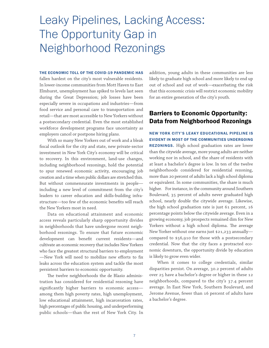# Leaky Pipelines, Lacking Access: The Opportunity Gap in Neighborhood Rezonings

#### THE ECONOMIC TOLL OF THE COVID-19 PANDEMIC HAS

fallen hardest on the city's most vulnerable residents. In lower-income communities from Mott Haven to East Elmhurst, unemployment has spiked to levels last seen during the Great Depression; job losses have been especially severe in occupations and industries—from food service and personal care to transportation and retail—that are most accessible to New Yorkers without a postsecondary credential. Even the most established workforce development programs face uncertainty as employers cancel or postpone hiring plans.

With so many New Yorkers out of work and a bleak fiscal outlook for the city and state, new private-sector investment in New York City's economy will be critical to recovery. In this environment, land-use changes, including neighborhood rezonings, hold the potential to spur renewed economic activity, encouraging job creation and a time when public dollars are stretched thin. But without commensurate investments in people including a new level of commitment from the city's leaders to career education and skills-building infrastructure—too few of the economic benefits will reach the New Yorkers most in need.

Data on educational attainment and economic access reveals particularly sharp opportunity divides in neighborhoods that have undergone recent neighborhood rezonings. To ensure that future economic development can benefit current residents—and cultivate an economic recovery that includes New Yorkers who face the greatest structural barriers to employment —New York will need to mobilize new efforts to fix leaks across the education system and tackle the most persistent barriers to economic opportunity.

The twelve neighborhoods the de Blasio administration has considered for residential rezoning have significantly higher barriers to economic access among them high poverty rates, high unemployment, low educational attainment, high incarceration rates, high percentages of public housing, and underperforming public schools—than the rest of New York City. In

addition, young adults in these communities are less likely to graduate high school and more likely to end up out of school and out of work—exacerbating the risk that this economic crisis will restrict economic mobility for an entire generation of the city's youth.

## Barriers to Economic Opportunity: Data from Neighborhood Rezonings

NEW YORK CITY'S LEAKY EDUCATIONAL PIPELINE IS EVIDENT IN MOST OF THE COMMUNITIES UNDERGOING REZONINGS. High school graduation rates are lower than the citywide average, more young adults are neither working nor in school, and the share of residents with at least a bachelor's degree is low. In ten of the twelve neighborhoods considered for residential rezoning, more than 20 percent of adults lack a high school diploma or equivalent. In some communities, the share is much higher. For instance, in the community around Southern Boulevard, 35 percent of adults never graduated high school, nearly double the citywide average. Likewise, the high school graduation rate is just 61 percent, 16 percentage points below the citywide average. Even in a growing economy, job prospects remained dim for New Yorkers without a high school diploma. The average New Yorker without one earns just \$21,233 annually compared to \$56,910 for those with a postsecondary credential. Now that the city faces a protracted economic downturn, the opportunity divide by education is likely to grow even wider.

When it comes to college credentials, similar disparities persist. On average, 30.2 percent of adults over 25 have a bachelor's degree or higher in these 12 neighborhoods, compared to the city's 37.4 percent average. In East New York, Southern Boulevard, and Jerome Avenue, fewer than 16 percent of adults have a bachelor's degree.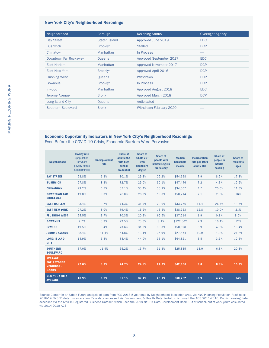#### New York City's Neighborhood Rezonings

| Neighborhood          | Borough         | <b>Rezoning Status</b>      | Oversight Agency |  |  |
|-----------------------|-----------------|-----------------------------|------------------|--|--|
| <b>Bay Street</b>     | Staten Island   | Approved June 2019          | <b>EDC</b>       |  |  |
| <b>Bushwick</b>       | <b>Brooklyn</b> | <b>Stalled</b>              | <b>DCP</b>       |  |  |
| Chinatown             | Manhattan       | In Process                  |                  |  |  |
| Downtown Far Rockaway | Queens          | Approved September 2017     | <b>EDC</b>       |  |  |
| East Harlem           | Manhattan       | Approved November 2017      | <b>DCP</b>       |  |  |
| <b>East New York</b>  | <b>Brooklyn</b> | Approved April 2016         | <b>DCP</b>       |  |  |
| <b>Flushing West</b>  | Queens          | Withdrawn                   | <b>DCP</b>       |  |  |
| Gowanus               | <b>Brooklyn</b> | In Process                  | <b>DCP</b>       |  |  |
| Inwood                | Manhattan       | <b>Approved August 2018</b> | <b>EDC</b>       |  |  |
| Jerome Avenue         | <b>Bronx</b>    | Approved March 2018         | <b>DCP</b>       |  |  |
| Long Island City      | Queens          | Anticipated                 |                  |  |  |
| Southern Boulevard    | <b>Bronx</b>    | Withdrawn February 2020     |                  |  |  |

### Economic Opportunity Indicators in New York City's Neighborhood Rezonings

Even Before the COVID-19 Crisis, Economic Barriers Were Pervasive

| <b>Neighborhood</b>                                                      | <b>Poverty rate</b><br>(population<br>for whom<br>poverty status<br>is determined) | <b>Unemployment</b><br>rate | <b>Share of</b><br>adults 25+<br>with high<br>school<br>credential | <b>Share of</b><br>adults 25+<br>with<br>bachelor's<br>degree | Share of<br>people with<br><b>limited English</b><br>proficiency | <b>Median</b><br>household<br><i>income</i> | <b>Incarceration</b><br>rate per 1000<br>adults 18+ | <b>Share of</b><br>people in<br><b>NYCHA</b><br>housing | Share of<br>residents<br>ages |
|--------------------------------------------------------------------------|------------------------------------------------------------------------------------|-----------------------------|--------------------------------------------------------------------|---------------------------------------------------------------|------------------------------------------------------------------|---------------------------------------------|-----------------------------------------------------|---------------------------------------------------------|-------------------------------|
| <b>BAY STREET</b>                                                        | 23.8%                                                                              | 6.3%                        | 80.1%                                                              | 29.8%                                                         | 22.2%                                                            | \$54,698                                    | 7.9                                                 | 8.2%                                                    | 17.8%                         |
| <b>BUSHWICK</b>                                                          | 27.8%                                                                              | 8.3%                        | 72.7%                                                              | 29.0%                                                         | 30.1%                                                            | \$47,446                                    | 7.2                                                 | 4.7%                                                    | 12.6%                         |
| <b>CHINATOWN</b>                                                         | 29.2%                                                                              | 6.7%                        | 67.1%                                                              | 33.4%                                                         | 35.9%                                                            | \$34,007                                    | 4.7                                                 | 25.0%                                                   | 11.6%                         |
| <b>DOWNTOWN FAR</b><br><b>ROCKAWAY</b>                                   | 19.8%                                                                              | 8.3%                        | 76.0%                                                              | 28.0%                                                         | 18.0%                                                            | \$50,214                                    | 7.1                                                 | 2.8%                                                    | 16%                           |
| <b>EAST HARLEM</b>                                                       | 33.4%                                                                              | 9.7%                        | 74.3%                                                              | 31.9%                                                         | 20.0%                                                            | \$33,756                                    | 11.4                                                | 26.4%                                                   | 13.8%                         |
| <b>EAST NEW YORK</b>                                                     | 27.2%                                                                              | 8.0%                        | 79.4%                                                              | 15.2%                                                         | 13.6%                                                            | \$38,763                                    | 12.8                                                | 10.0%                                                   | 21%                           |
| <b>FLUSHING WEST</b>                                                     | 24.5%                                                                              | 3.7%                        | 70.3%                                                              | 20.2%                                                         | 65.5%                                                            | \$37,514                                    | 1.9                                                 | 0.1%                                                    | 8.5%                          |
| <b>GOWANUS</b>                                                           | 9.7%                                                                               | 5.3%                        | 92.5%                                                              | 73.0%                                                         | 8.1%                                                             | \$122,002                                   | 2.3                                                 | 10.1%                                                   | 12%                           |
| <b>INWOOD</b>                                                            | 19.5%                                                                              | 8.4%                        | 73.6%                                                              | 31.0%                                                         | 38.3%                                                            | \$50,628                                    | 3.9                                                 | 4.3%                                                    | 15.4%                         |
| <b>JEROME AVENUE</b>                                                     | 38.4%                                                                              | 11.4%                       | 64.8%                                                              | 13.1%                                                         | 35.9%                                                            | \$27,874                                    | 10.9                                                | 1.9%                                                    | 21.2%                         |
| <b>LONG ISLAND</b><br><b>CITY</b>                                        | 14.9%                                                                              | 5.8%                        | 84.4%                                                              | 44.0%                                                         | 33.1%                                                            | \$64,821                                    | 3.5                                                 | 3.7%                                                    | 12.5%                         |
| <b>SOUTHERN</b><br><b>BOULEVARD</b>                                      | 37.0%                                                                              | 11.4%                       | 65.2%                                                              | 13.7%                                                         | 31.3%                                                            | \$25,835                                    | 13.0                                                | 6.8%                                                    | 20.8%                         |
| <b>AVERAGE</b><br><b>FOR REZONED</b><br><b>NEIGHBOR-</b><br><b>HOODS</b> | 27.0%                                                                              | 8.7%                        | 74.7%                                                              | 24.8%                                                         | 24.7%                                                            | \$42,656                                    | 9.0                                                 | 8.9%                                                    | 15.3%                         |
| <b>NEW YORK CITY</b><br><b>AVERAGE</b>                                   | 18.9%                                                                              | 6.9%                        | 81.1%                                                              | 37.4%                                                         | 23.1%                                                            | \$60,762                                    | 3.9                                                 | 4.7%                                                    | 14%                           |

Source: Center for an Urban Future analysis of data from ACS 2018 5-year data by Neighborhood Tabulation Area, via NYC Planning Population FactFinder; 2018-19 NYSED data; Incarceration Rate data accessed via Environment & Health Data Portal, which used the ACS 2011-2016; Public housing data accessed via the NYCHA Registered Business Dataset, which used the 2019 NYCHA Data Development Book; Out-of-school, out-of-work youth calculated via 2014-2018 ACS.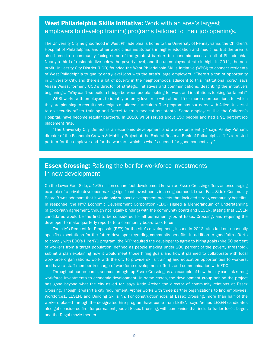## West Philadelphia Skills Initiative: Work with an area's largest employers to develop training programs tailored to their job openings.

The University City neighborhood in West Philadelphia is home to the University of Pennsylvania, the Children's Hospital of Philadelphia, and other world-class institutions in higher education and medicine. But the area is also home to a community facing some of the greatest barriers to economic access in all of Philadelphia. Nearly a third of residents live below the poverty level, and the unemployment rate is high. In 2011, the nonprofit University City District (UCD) founded the West Philadelphia Skills Initiative (WPSI) to connect residents of West Philadelphia to quality entry-level jobs with the area's large employers. "There's a ton of opportunity in University City, and there's a lot of poverty in the neighborhoods adjacent to this institutional core," says Alissa Weiss, formerly UCD's director of strategic initiatives and communications, describing the initiative's beginnings. "Why can't we build a bridge between people looking for work and institutions looking for talent?"

WPSI works with employers to identify an entry-level role with about 15 or more open positions for which they are planning to recruit and designs a tailored curriculum. The program has partnered with Allied Universal to do security officer training and Drexel to train medical assistants. Some employers, like the Children's Hospital, have become regular partners. In 2018, WPSI served about 150 people and had a 91 percent job placement rate.

"The University City District is an economic development and a workforce entity," says Ashley Putnam, director of the Economic Growth & Mobility Project at the Federal Reserve Bank of Philadelphia. "It's a trusted partner for the employer and for the workers, which is what's needed for good connectivity."

## **Essex Crossing: Raising the bar for workforce investments** in new development

On the Lower East Side, a 1.65-million-square-foot development known as Essex Crossing offers an encouraging example of a private developer making significant investments in a neighborhood. Lower East Side's Community Board 3 was adamant that it would only support development projects that included strong community benefits. In response, the NYC Economic Development Corporation (EDC) signed a Memorandum of Understanding (a good-faith agreement, though not legally binding) with the community board and LESEN, stating that LESEN candidates would be the first to be considered for all permanent jobs at Essex Crossing, and requiring the developer to make quarterly reports to a community board task force.

The city's Request for Proposals (RFP) for the site's development, issued in 2013, also laid out unusually specific expectations for the future developer regarding community benefits. In addition to good-faith efforts to comply with EDC's HireNYC program, the RFP required the developer to agree to hiring goals (hire 50 percent of workers from a target population, defined as people making under 200 percent of the poverty threshold), submit a plan explaining how it would meet those hiring goals and how it planned to collaborate with local workforce organizations, work with the city to provide skills training and education opportunities to workers, and have a staff member in charge of workforce development efforts and communication with EDC.

Throughout our research, sources brought up Essex Crossing as an example of how the city can link strong workforce investments to economic development. In some cases, the development group behind the project has gone beyond what the city asked for, says Katie Archer, the director of community relations at Essex Crossing. Though it wasn't a city requirement, Archer works with three partner organizations to find employees: Workforce1, LESEN, and Building Skills NY. For construction jobs at Essex Crossing, more than half of the workers placed through the designated hire program have come from LESEN, says Archer. LESEN candidates also get considered first for permanent jobs at Essex Crossing, with companies that include Trader Joe's, Target, and the Regal movie theater.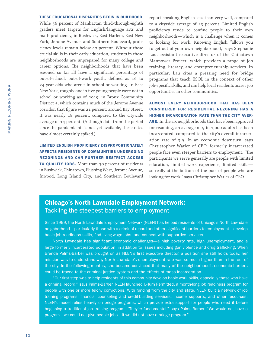#### THESE EDUCATIONAL DISPARITIES BEGIN IN CHILDHOOD.

While 56 percent of Manhattan third-through-eighth graders meet targets for English/language arts and math proficiency, in Bushwick, East Harlem, East New York, Jerome Avenue, and Southern Boulevard, proficiency levels remain below 40 percent. Without these crucial skills in their early education, students in these neighborhoods are unprepared for many college and career options. The neighborhoods that have been rezoned so far all have a significant percentage of out-of-school, out-of-work youth, defined as 16 to 24-year-olds who aren't in school or working. In East New York, roughly one in five young people were not in school or working as of 2019; in Bronx Community District 5, which contains much of the Jerome Avenue corridor, that figure was 21 percent; around Bay Street, it was nearly 18 percent, compared to the citywide average of 14 percent. (Although data from the period since the pandemic hit is not yet available, these rates have almost certainly spiked.)

LIMITED ENGLISH PROFICIENCY DISPROPORTIONATELY AFFECTS RESIDENTS OF COMMUNITIES UNDERGOING REZONINGS AND CAN FURTHER RESTRICT ACCESS TO QUALITY JOBS. More than 30 percent of residents in Bushwick, Chinatown, Flushing West, Jerome Avenue, Inwood, Long Island City, and Southern Boulevard report speaking English less than very well, compared to a citywide average of 23 percent. Limited English proficiency tends to confine people to their own neighborhoods—which is a challenge when it comes to looking for work. Knowing English "allows you to get out of your own neighborhood," says Stephanie Lau, assistant executive director of the Chinatown Manpower Project, which provides a range of job training, literacy, and entrepreneurship services. In particular, Lau cites a pressing need for bridge programs that teach ESOL in the context of other job-specific skills, and can help local residents access job opportunities in other communities.

ALMOST EVERY NEIGHBORHOOD THAT HAS BEEN CONSIDERED FOR RESIDENTIAL REZONING HAS A HIGHER INCARCERATION RATE THAN THE CITY AVER-AGE. In the six neighborhoods that have been approved for rezoning, an average of 9 in 1,000 adults has been incarcerated, compared to the city's overall incarceration rate of 3.9. In an economic downturn, says Chrtistopher Watler of CEO, formerly incarcerated people face even steeper barriers to employment. "The participants we serve generally are people with limited education, limited work experience, limited skills so really at the bottom of the pool of people who are looking for work," says Christopher Watler of CEO.

## Chicago's North Lawndale Employment Network: Tackling the steepest barriers to employment

Since 1999, the North Lawndale Employment Network (NLEN) has helped residents of Chicago's North Lawndale neighborhood—particularly those with a criminal record and other significant barriers to employment—develop basic job readiness skills, find living-wage jobs, and connect with supportive services.

North Lawndale has significant economic challenges—a high poverty rate, high unemployment, and a large formerly incarcerated population, in addition to issues including gun violence and drug trafficking. When Brenda Palms-Barber was brought on as NLEN's first executive director, a position she still holds today, her mission was to understand why North Lawndale's unemployment rate was so much higher than in the rest of the city. In the following months, she became convinced that many of the neighborhood's economic barriers could be traced to the criminal justice system and the effects of mass incarceration.

"Our first step was to help residents of this community develop basic work skills, especially those who have a criminal record," says Palms-Barber. NLEN launched U-Turn Permitted, a month-long job readiness program for people with one or more felony convictions. With funding from the city and state, NLEN built a network of job training programs, financial counseling and credit-building services, income supports, and other resources. NLEN's model relies heavily on bridge programs, which provide extra support for people who need it before beginning a traditional job training program. "They're fundamental," says Palms-Barber. "We would not have a program—we could not give people jobs—if we did not have a bridge program."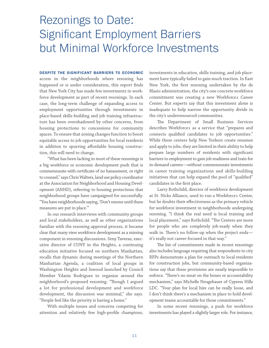# Rezonings to Date: Significant Employment Barriers but Minimal Workforce Investments

#### DESPITE THE SIGNIFICANT BARRIERS TO ECONOMIC

access in the neighborhoods where rezoning has happened or is under consideration, this report finds that New York City has made few investments in workforce development as part of recent rezonings. In each case, the long-term challenge of expanding access to employment opportunities through investments in place-based skills-building and job training infrastructure has been overshadowed by other concerns, from housing protections to concessions for community spaces. To ensure that zoning changes function to boost equitable access to job opportunities for local residents in addition to spurring affordable housing construction, this will need to change.

"What has been lacking in most of these rezonings is a big workforce or economic development push that is commensurate with certificate of no harassment, or right to counsel," says Chris Walters, land use policy coordinator at the Association for Neighborhood and Housing Development (ANHD), referring to housing protections that neighborhood groups have campaigned for successfully. "You have neighborhoods saying, 'Don't rezone until these measures are put in place.'"

In our research interviews with community groups and local stakeholders, as well as other organizations familiar with the rezoning approval process, it became clear that many view workforce development as a missing component in rezoning discussions. Seny Taveras, executive director of CUNY in the Heights, a continuing education initiative focused on northern Manhattan, recalls that dynamic during meetings of the Northern Manhattan Agenda, a coalition of local groups in Washington Heights and Inwood launched by Council Member Ydanis Rodriguez to organize around the neighborhood's proposed rezoning. "Though I argued a lot for professional development and workforce development, the discussion was minimal," she says. "People feel like the priority is having a home."

With multiple issues and concerns competing for attention and relatively few high-profile champions,

investments in education, skills training, and job placement have typically failed to gain much traction. In East New York, the first rezoning undertaken by the de Blasio administration, the city's one concrete workforce commitment was creating a new Workforce1 Career Center. But experts say that this investment alone is inadequate to help narrow the opportunity divide in the city's underresourced communities.

The Department of Small Business Services describes Workforce1 as a service that "prepares and connects qualified candidates to job opportunities." While these centers help New Yorkers create resumes and apply to jobs, they are limited in their ability to help prepare large numbers of residents with significant barriers to employment to gain job readiness and train for in-demand careers—without commensurate investments in career training organizations and skills-building initiatives that can help expand the pool of "qualified" candidates in the first place.

Larry Rothchild, director of workforce development at St. Nicks Alliance, used to run a Workforce1 Center, but he doubts their effectiveness as the primary vehicle for workforce investment in neighborhoods undergoing rezoning. "I think the real need is local training and local placement," says Rothchild. "The Centers are more for people who are completely job-ready when they walk in. There's no follow-up when the project ends it's really not career-focused in that way."

The list of commitments made in recent rezonings also includes language requiring that respondents to city RFPs demonstrate a plan for outreach to local residents for construction jobs, but community-based organizations say that these provisions are nearly impossible to enforce. "There's no meat on the bones or accountability mechanism," says Michelle Neugebauer of Cypress Hills LDC. "Your plan for local hire can be really loose, and I don't think there's a mechanism in place to hold development teams accountable for those commitments."

In some recent rezonings, a push for workforce investments has played a slightly larger role. For instance,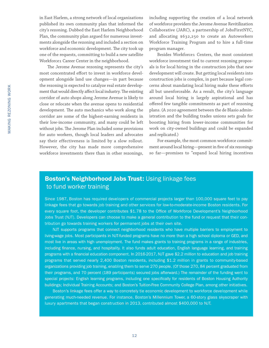in East Harlem, a strong network of local organizations published its own community plan that informed the city's rezoning. Dubbed the East Harlem Neighborhood Plan, the community plan argued for numerous investments alongside the rezoning and included a section on workforce and economic development. The city took up one of the requests, committing to build a new satellite Workforce1 Career Center in the neighborhood.

The Jerome Avenue rezoning represents the city's most concentrated effort to invest in workforce development alongside land use changes—in part because the rezoning is expected to catalyze real estate development that would directly affect local industry. The existing corridor of auto shops along Jerome Avenue is likely to close or relocate when the avenue opens to residential development. The auto mechanics who work along the corridor are some of the highest-earning residents in their low-income community, and many could be left without jobs. The Jerome Plan included some provisions for auto workers, though local leaders and advocates say their effectiveness is limited by a slow rollout. However, the city has made more comprehensive workforce investments there than in other rezonings,

including supporting the creation of a local network of workforce providers the Jerome Avenue Revitilization Collaborative (JARC), a partnership of JobsFirstNYC, and allocating \$632,250 to create an Autoworkers Workforce Training Program and to hire a full-time program manager.

Besides Workforce1 Centers, the most consistent workforce investment tied to current rezoning proposals is for local hiring in the construction jobs that new development will create. But getting local residents into construction jobs is complex, in part because legal concerns about mandating local hiring make these efforts all but unenforceable. As a result, the city's language around local hiring is largely aspirational and has offered few tangible commitments as part of rezoning plans. (A 2020 agreement between the de Blasio administration and the building trades unions sets goals for boosting hiring from lower-income communities for work on city-owned buildings and could be expanded and replicated.)

For example, the most common workforce commitment around local hiring—present in five of six rezonings so far—promises to "expand local hiring incentives

## **Boston's Neighborhood Jobs Trust: Using linkage fees** to fund worker training

Since 1987, Boston has required developers of commercial projects larger than 100,000 square feet to pay linkage fees that go towards job training and other services for low-to-moderate-income Boston residents. For every square foot, the developer contributes \$1.78 to the Office of Workforce Development's Neighborhood Jobs Trust (NJT). Developers can choose to make a general contribution to the fund or request that their contribution go towards training workers for permanent jobs at their own site.

NJT supports programs that connect neighborhood residents who have multiple barriers to employment to living-wage jobs. Most participants in NJT-funded programs have no more than a high school diploma or GED, and most live in areas with high unemployment. The fund makes grants to training programs in a range of industries, including finance, nursing, and hospitality. It also funds adult education, English language learning, and training programs with a financial education component. In 2016-2017, NJT gave \$2.2 million to education and job training programs that served nearly 2,400 Boston residents, including \$1.2 million in grants to community-based organizations providing job training, enabling them to serve 270 people. (Of those 270, 84 percent graduated from their programs, and 70 percent (189 participants) secured jobs afterward.) The remainder of the funding went to special projects: English learning programs, including one specifically for residents of Boston Housing Authority buildings; Individual Training Accounts; and Boston's Tuition-Free Community College Plan, among other initiatives.

Boston's linkage fees offer a way to concretely tie economic development to workforce development while generating much-needed revenue. For instance, Boston's Millennium Tower, a 60-story glass skyscraper with luxury apartments that began construction in 2013, contributed almost \$400,000 to NJT.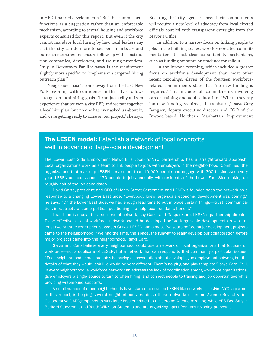in HPD-financed developments." But this commitment functions as a suggestion rather than an enforceable mechanism, according to several housing and workforce experts consulted for this report. But even if the city cannot mandate local hiring by law, local leaders say that the city can do more to set benchmarks around outreach measures and ensure follow-up with construction companies, developers, and training providers. Only in Downtown Far Rockaway is the requirement slightly more specific: to "implement a targeted hiring outreach plan."

Neugebauer hasn't come away from the East New York rezoning with confidence in the city's followthrough on local hiring goals. "I can just tell you from experience that we won a city RFP, and we put together a local hire plan, but no one has ever asked us about it, and we're getting ready to close on our project," she says.

Ensuring that city agencies meet their commitments will require a new level of advocacy from local elected officials coupled with transparent oversight from the Mayor's Office.

In addition to a narrow focus on linking people to jobs in the building trades, workforce-related commitments tend to lack clear accountability mechanisms, such as funding amounts or timelines for rollout.

In the Inwood rezoning, which included a greater focus on workforce development than most other recent rezonings, eleven of the fourteen workforcerelated commitments state that "no new funding is required." This includes all commitments involving career training and adult education. "Where they say 'no new funding required,' that's absurd,'" says Greg Bangser, deputy executive director and COO of the Inwood-based Northern Manhattan Improvement

## **The LESEN model:** Establish a network of local nonprofits well in advance of large-scale development

The Lower East Side Employment Network, a JobsFirstNYC partnership, has a straightforward approach: Local organizations work as a team to link people to jobs with employers in the neighborhood. Combined, the organizations that make up LESEN serve more than 10,000 people and engage with 300 businesses every year. LESEN connects about 170 people to jobs annually, with residents of the Lower East Side making up roughly half of the job candidates.

David Garza, president and CEO of Henry Street Settlement and LESEN's founder, sees the network as a response to a changing Lower East Side. "Everybody knew large-scale economic development was coming," he says. "On the Lower East Side, we had enough lead time to put in place certain things—trust, communication, infrastructure, some political positioning—to help local residents benefit."

Lead time is crucial for a successful network, say Garza and Gaspar Caro, LESEN's partnership director. To be effective, a local workforce network should be developed before large-scale development arrives—at least two or three years prior, suggests Garza. LESEN had almost five years before major development projects came to the neighborhood. "We had the time, the space, the runway to really develop our collaboration before major projects came into the neighborhood," says Caro.

Garza and Caro believe every neighborhood could use a network of local organizations that focuses on workforce—not a duplicate of LESEN, but a network that can respond to that community's particular issues. "Each neighborhood should probably be having a conversation about developing an employment network, but the details of what they would look like would be very different. There's no plug and play template," says Caro. Still, in every neighborhood, a workforce network can address the lack of coordination among workforce organizations, give employers a single source to turn to when hiring, and connect people to training and job opportunities while providing wraparound supports.

A small number of other neighborhoods have started to develop LESEN-like networks (JobsFirstNYC, a partner in this report, is helping several neighborhoods establish these networks). Jerome Avenue Revitalization Collaborative (JARC)responds to workforce issues related to the Jerome Avenue rezoning, while YES Bed-Stuy in Bedford-Stuyvesant and Youth WINS on Staten Island are organizing apart from any rezoning proposals.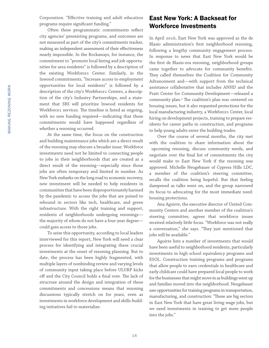Corporation. "Effective training and adult education programs require significant funding."

Often these programmatic commitments reflect city agencies' preexisting programs, and outcomes are not measured as part of the city's commitments tracker, making an independent assessment of their effectiveness nearly impossible. In the Rockaways, for instance, the commitment to "promote local hiring and job opportunities for area residents" is followed by a description of the existing Workforce1 Center. Similarly, in the Inwood commitments, "Increase access to employment opportunities for local residents" is followed by a description of the city's Workforce1 Centers, a description of the city's Industry Partnerships, and a statement that SBS will prioritize Inwood residents for Workforce1 services. The timeline is listed as ongoing, with no new funding required—indicating that these commitments would have happened regardless of whether a rezoning occurred.

At the same time, the focus on the construction and building maintenance jobs which are a direct result of the rezoning may obscure a broader issue: Workforce investments need not be limited to connecting people to jobs in their neighborhoods that are created as a direct result of the rezoning—especially since those jobs are often temporary and limited in number. As New York embarks on the long road to economic recovery, new investment will be needed to help residents in communities that have been disproportionately harmed by the pandemic to access the jobs that are poised to rebound in sectors like tech, healthcare, and green infrastructure. With the right training and support, residents of neighborhoods undergoing rezonings the majority of whom do not have a four-year degree could gain access to those jobs.

To seize this opportunity, according to local leaders interviewed for this report, New York will need a clear process for identifying and integrating these crucial investments at the onset of rezoning planning. But to date, the process has been highly fragmented, with multiple layers of nonbinding review and varying levels of community input taking place before ULURP kicks off and the City Council holds a final vote. The lack of structure around the design and integration of these commitments and concessions means that rezoning discussions typically stretch on for years, even as investments in workforce development and skills-building initiatives fail to materialize.

## East New York: A Backseat for Workforce Investments

In April 2016, East New York was approved as the de Blasio administration's first neighborhood rezoning, following a lengthy community engagement process. In response to news that East New York would be the first de Blasio-era rezoning, neighborhood groups came together to advocate for community benefits. They called themselves the Coalition for Community Advancement and—with support from the technical assistance collaborative that includes ANHD and the Pratt Center for Community Development—released a community plan.4 The coalition's plan was centered on housing issues, but it also requested protections for the local manufacturing industry, a Workforce1 Center, local hiring on development projects, training to prepare residents for career paths in construction, and programs to help young adults enter the building trades.

Over the course of several months, the city met with the coalition to share information about the upcoming rezoning, discuss community needs, and negotiate over the final list of commitments the city would make to East New York if the rezoning was approved. Michelle Neugebauer of Cypress Hills LDC, a member of the coalition's steering committee, recalls the coalition being hopeful. But that feeling dampened as talks went on, and the group narrowed its focus to advocating for the most immediate need: housing protections.

Ana Aguirre, the executive director of United Community Centers and another member of the coalition's steering committee, agrees that workforce issues received relatively little focus. "Workforce was not really a conversation," she says. "They just mentioned that jobs will be available."

Aguirre lists a number of investments that would have been useful to neighborhood residents, particularly investments in high school equivalency programs and ESOL. Construction training programs and programs that allow people to earn credentials in healthcare and early childcare could have prepared local people to work for the businesses that might move in as buildings went up and families moved into the neighborhood. Neugebauer saw opportunities for training programs in transportation, manufacturing, and construction: "These are big sectors in East New York that have great living-wage jobs, but we need investments in training to get more people into the jobs."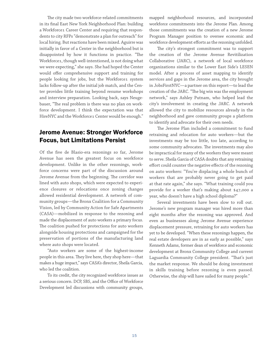The city made two workforce-related commitments in its final East New York Neighborhood Plan: building a Workforce1 Career Center and requiring that respondents to city RFPs "demonstrate a plan for outreach" for local hiring. But reactions have been mixed. Aguirre was initially in favor of a Center in the neighborhood but is disappointed by how it functions in practice. "The Workforce1, though well-intentioned, is not doing what we were expecting," she says. She had hoped the Center would offer comprehensive support and training for people looking for jobs, but the Workforce1 system lacks follow-up after the initial job match, and the Center provides little training beyond resume workshops and interview preparation. Looking back, says Neugebauer, "The real problem is there was no plan on workforce development. I think the expectation was that HireNYC and the Workforce1 Center would be enough."

## Jerome Avenue: Stronger Workforce Focus, but Limitations Persist

Of the five de Blasio-era rezonings so far, Jerome Avenue has seen the greatest focus on workforce development. Unlike in the other rezonings, workforce concerns were part of the discussion around Jerome Avenue from the beginning. The corridor was lined with auto shops, which were expected to experience closures or relocations once zoning changes allowed residential development. A network of community groups—the Bronx Coalition for a Community Vision, led by Community Action for Safe Apartments (CASA)—mobilized in response to the rezoning and made the displacement of auto workers a primary focus. The coalition pushed for protections for auto workers alongside housing protections and campaigned for the preservation of portions of the manufacturing land where auto shops were located.

"Auto workers are some of the highest-income people in this area. They live here, they shop here—that makes a huge impact," says CASA's director, Sheila Garcia, who led the coalition.

To its credit, the city recognized workforce issues as a serious concern. DCP, SBS, and the Office of Workforce Development led discussions with community groups, mapped neighborhood resources, and incorporated workforce commitments into the Jerome Plan. Among those commitments was the creation of a new Jerome Program Manager position to oversee economic and workforce development efforts as the rezoning unfolded.

The city's strongest commitment was to support the creation of the Jerome Avenue Revitilization Collaborative (JARC), a network of local workforce organizations similar to the Lower East Side's LESEN model. After a process of asset mapping to identify services and gaps in the Jerome area, the city brought in JobsFirstNYC—a partner on this report—to lead the creation of the JARC. "The big win was the employment network," says Ashley Putnam, who helped lead the city's involvement in creating the JARC. A network allowed the city to mobilize resources already in the neighborhood and gave community groups a platform to identify and advocate for their own needs.

The Jerome Plan included a commitment to fund retraining and relocation for auto workers—but the investments may be too little, too late, according to some community advocates. The investments may also be impractical for many of the workers they were meant to serve. Sheila Garcia of CASA doubts that any retraining effort could counter the negative effects of the rezoning on auto workers: "You're displacing a whole bunch of workers that are probably never going to get paid at that rate again," she says. "What training could you provide for a worker that's making about \$47,000 a year, who doesn't have a high school diploma?"

Several investments have been slow to roll out. Jerome's new program manager was hired more than eight months after the rezoning was approved. And even as businesses along Jerome Avenue experience displacement pressure, retraining for auto workers has yet to be developed. "When these rezonings happen, the real estate developers are in as early as possible," says Kenneth Adams, former dean of workforce and economic development at Bronx Community College and current Laguardia Community College president. "That's just the market response. We should be doing investment in skills training before rezoning is even passed. Otherwise, the ship will have sailed for many people."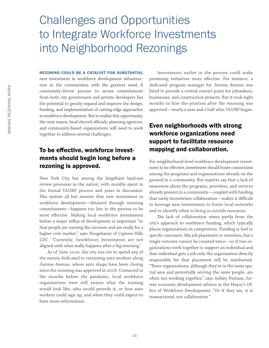# Challenges and Opportunities to Integrate Workforce Investments into Neighborhood Rezonings

#### REZONING COULD BE A CATALYST FOR SUBSTANTIAL

new investment in workforce development infrastructure in the communities with the greatest need. A community-driven process to secure commitments from both city government and private developers has the potential to greatly expand and improve the design, funding, and implementation of cutting-edge approaches to workforce development. But to realize this opportunity, the next mayor, local elected officials, planning agencies, and community-based organizations will need to work together to address several challenges.

## To be effective, workforce investments should begin long before a rezoning is approved.

New York City has among the lengthiest land-use review processes in the nation, with months spent in the formal ULURP process and years in discussion. This system all but ensures that new investment in workforce development—obtained through rezoning commitments—happens too late in the process to be most effective. Making local workforce investments before a major influx of development is important "so that people are earning the incomes and are ready for a higher-cost market," says Neugebauer of Cypress Hills LDC. "Currently, [workforce] investments are not aligned with what really happens after a big rezoning."

As of June 2020, the city was yet to spend any of the money dedicated to retraining auto workers along Jerome Avenue, where auto shops have been closing since the rezoning was approved in 2018. Contacted in the months before the pandemic, local workforce organizations were still unsure what the training would look like, who would provide it, or how auto workers could sign up, and when they could expect to have more information.

Investments earlier in the process could make promising initiatives more effective. For instance, a dedicated program manager for Jerome Avenue was hired to provide a central contact point for jobseekers, businesses, and construction projects. But it took eight months to hire the position after the rezoning was approved—nearly a year and a half after ULURP began.

## Even neighborhoods with strong workforce organizations need support to facilitate resource mapping and collaboration.

For neighborhood-level workforce development investment to be effective, investment should foster connections among the programs and organizations already on the ground in a community. But experts say that a lack of awareness about the programs, providers, and services already present in a community—coupled with funding that rarely incentivizes collaboration—makes it difficult to leverage new investments to foster local networks and to identify when to bring in outside resources.

The lack of collaboration stems partly from the city's approach to workforce funding, which typically places organizations in competition. Funding is tied to specific outcomes, like job placement or retention, but a single outcome cannot be counted twice—so if two organizations work together to support an individual and that individual gets a job only the organization directly responsible for that placement will be reimbursed. "These organizations, although they're in the same spatial area and potentially serving the same people, are often not working together," says Ashley Putnam, former economic development advisor at the Mayor's Office of Workforce Development. "Or if they are, it is transactional, not collaborative."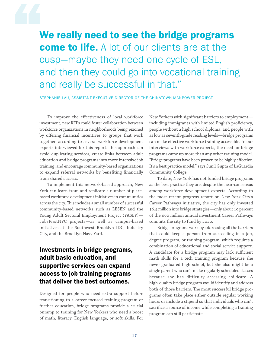We really need to see the bridge programs come to life. A lot of our clients are at the cusp—maybe they need one cycle of ESL, and then they could go into vocational training and really be successful in that."

STEPHANIE LAU, ASSISTANT EXECUTIVE DIRECTOR OF THE CHINATOWN MANPOWER PROJECT

To improve the effectiveness of local workforce investment, new RFPs could foster collaboration between workforce organizations in neighborhoods being rezoned by offering financial incentives to groups that work together, according to several workforce development experts interviewed for this report. This approach can avoid duplicating services, create links between adult education and bridge programs into more intensive job training, and encourage community-based organizations to expand referral networks by benefiting financially from shared success.

To implement this network-based approach, New York can learn from and replicate a number of placebased workforce development initiatives in communities across the city. This includes a small number of successful community-based networks such as LESEN and the Young Adult Sectoral Employment Project (YASEP)— JobsFirstNYC projects—as well as campus-based initiatives at the Southwest Brooklyn IDC, Industry City, and the Brooklyn Navy Yard.

## Investments in bridge programs, adult basic education, and supportive services can expand access to job training programs that deliver the best outcomes.

Designed for people who need extra support before transitioning to a career-focused training program or further education, bridge programs provide a crucial onramp to training for New Yorkers who need a boost of math, literacy, English language, or soft skills. For New Yorkers with significant barriers to employment including immigrants with limited English proficiency, people without a high school diploma, and people with as low as seventh-grade reading levels—bridge programs can make effective workforce training accessible. In our interviews with workforce experts, the need for bridge programs came up more than any other training model. "Bridge programs have been proven to be highly effective. It's a best practice model," says Sunil Gupta of LaGuardia Community College.

To date, New York has not funded bridge programs as the best practice they are, despite the near-consensus among workforce development experts. According to the most recent progress report on New York City's Career Pathways initiative, the city has only invested \$6.4 million into bridge strategies—only about 10 percent of the \$60 million annual investment Career Pathways commits the city to fund by 2020.

Bridge programs work by addressing all the barriers that could keep a person from succeeding in a job, degree program, or training program, which requires a combination of educational and social service support. A candidate for a bridge program may lack sufficient math skills for a tech training program because she never graduated high school, but she also might be a single parent who can't make regularly scheduled classes because she has difficulty accessing childcare. A high-quality bridge program would identify and address both of those barriers. The most successful bridge programs often take place either outside regular working hours or include a stipend so that individuals who can't sacrifice a source of income while completing a training program can still participate.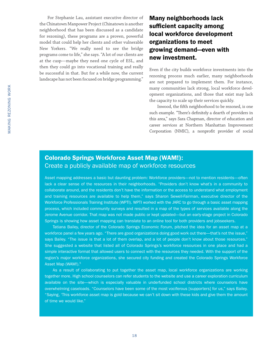For Stephanie Lau, assistant executive director of the Chinatown Manpower Project (Chinatown is another neighborhood that has been discussed as a candidate for rezoning), these programs are a proven, powerful model that could help her clients and other vulnerable New Yorkers. "We really need to see the bridge programs come to life," she says. "A lot of our clients are at the cusp—maybe they need one cycle of ESL, and then they could go into vocational training and really be successful in that. But for a while now, the current landscape has not been focused on bridge programming."

Many neighborhoods lack sufficient capacity among local workforce development organizations to meet growing demand—even with new investment.

Even if the city builds workforce investments into the rezoning process much earlier, many neighborhoods are not prepared to implement them. For instance, many communities lack strong, local workforce development organizations, and those that exist may lack the capacity to scale up their services quickly.

Inwood, the fifth neighborhood to be rezoned, is one such example. "There's definitely a dearth of providers in this area," says Sara Chapman, director of education and career services at Northern Manhattan Improvement Corporation (NMIC), a nonprofit provider of social

## Colorado Springs Workforce Asset Map (WAM!): Create a publicly available map of workforce resources

Asset mapping addresses a basic but daunting problem: Workforce providers—not to mention residents—often lack a clear sense of the resources in their neighborhoods. "Providers don't know what's in a community to collaborate around, and the residents don't have the information or the access to understand what employment and training resources are available to help them," says Sharon Sewell-Fairman, executive director of the Workforce Professionals Training Institute (WPTI). WPTI worked with the JARC to go through a basic asset mapping process, which included community surveys and resulted in a map of the types of services available along the Jerome Avenue corridor. That map was not made public or kept updated—but an early-stage project in Colorado Springs is showing how asset mapping can translate to an online tool for both providers and jobseekers.

Tatiana Bailey, director of the Colorado Springs Economic Forum, pitched the idea for an asset map at a workforce panel a few years ago. "There are good organizations doing good work out there—that's not the issue," says Bailey. "The issue is that a lot of them overlap, and a lot of people don't know about those resources." She suggested a website that listed all of Colorado Springs's workforce resources in one place and had a simple interactive format that allowed users to connect with the resources they needed. With the support of the region's major workforce organizations, she secured city funding and created the Colorado Springs Workforce Asset Map (WAM!).<sup>5</sup>

As a result of collaborating to put together the asset map, local workforce organizations are working together more. High school counselors can refer students to the website and use a career exploration curriculum available on the site—which is especially valuable in underfunded school districts where counselors have overwhelming caseloads. "Counselors have been some of the most vociferous [supporters] for us," says Bailey. "Saying, 'This workforce asset map is gold because we can't sit down with these kids and give them the amount of time we would like."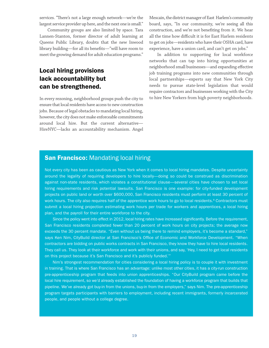services. "There's not a large enough network—we're the largest service provider up here, and the next one is small."

Community groups are also limited by space. Tara Lannen-Stanton, former director of adult learning at Queens Public Library, doubts that the new Inwood library building—for all its benefits—"will have room to meet the growing demand for adult education programs."

## Local hiring provisions lack accountability but can be strengthened.

In every rezoning, neighborhood groups push the city to ensure that local residents have access to new construction jobs. Because of legal obstacles to mandating local hiring, however, the city does not make enforceable commitments around local hire. But the current alternative— HireNYC—lacks an accountability mechanism. Angel Mescain, the district manager of East Harlem's community board, says, "In our community, we're seeing all this construction, and we're not benefiting from it. We hear all the time how difficult it is for East Harlem residents to get on jobs—residents who have their OSHA card, have experience, have a union card, and can't get on jobs."

In addition to supporting for local workforce networks that can tap into hiring opportunities at neighborhood small businesses—and expanding effective job training programs into new communities through local partnerships—experts say that New York City needs to pursue state-level legislation that would require contractors and businesses working with the City to hire New Yorkers from high poverty neighborhoods.

### **San Francisco:** Mandating local hiring

Not every city has been as cautious as New York when it comes to local hiring mandates. Despite uncertainty around the legality of requiring developers to hire locally—doing so could be construed as discrimination against non-state residents, which violates a constitutional clause—several cities have chosen to set local hiring requirements and risk potential lawsuits. San Francisco is one example: for city-funded development projects on public land or worth over \$600,000, San Francisco residents must perform at least 30 percent of work hours. The city also requires half of the apprentice work hours to go to local residents.<sup>6</sup> Contractors must submit a local hiring projection estimating work hours per trade for workers and apprentices, a local hiring plan, and the payroll for their entire workforce to the city.

Since the policy went into effect in 2012, local hiring rates have increased significantly. Before the requirement, San Francisco residents completed fewer than 20 percent of work hours on city projects; the average now exceeds the 30 percent mandate. "Even without us being there to remind employers, it's become a standard," says Ken Nim, CityBuild director at San Francisco's Office of Economic and Workforce Development. "When contractors are bidding on public works contracts in San Francisco, they know they have to hire local residents. They call us. They look at their workforce and work with their unions, and say, 'Hey, I need to get local residents on this project because it's San Francisco and it's publicly funded."

Nim's strongest recommendation for cities considering a local hiring policy is to couple it with investment in training. That is where San Francisco has an advantage: unlike most other cities, it has a city-run construction pre-apprenticeship program that feeds into union apprenticeships. "Our CityBuild program came before the local hire requirement, so we'd already established the foundation of having a workforce program that builds that pipeline. We've already got buy-in from the unions, buy-in from the employers," says Nim. The pre-apprenticeship program targets participants with barriers to employment, including recent immigrants, formerly incarcerated people, and people without a college degree.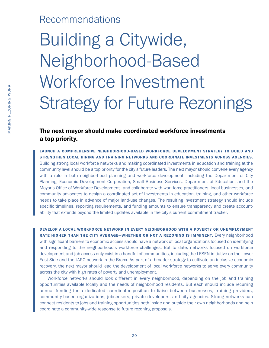## Recommendations

# Building a Citywide, Neighborhood-Based Workforce Investment Strategy for Future Rezonings

## The next mayor should make coordinated workforce investments a top priority.

LAUNCH A COMPREHENSIVE NEIGHBORHOOD-BASED WORKFORCE DEVELOPMENT STRATEGY TO BUILD AND STRENGTHEN LOCAL HIRING AND TRAINING NETWORKS AND COORDINATE INVESTMENTS ACROSS AGENCIES. Building strong local workforce networks and making coordinated investments in education and training at the community level should be a top priority for the city's future leaders. The next mayor should convene every agency with a role in both neighborhood planning and workforce development—including the Department of City Planning, Economic Development Corporation, Small Business Services, Department of Education, and the Mayor's Office of Workforce Development—and collaborate with workforce practitioners, local businesses, and community advocates to design a coordinated set of investments in education, training, and other workforce needs to take place in advance of major land-use changes. The resulting investment strategy should include specific timelines, reporting requirements, and funding amounts to ensure transparency and create accountability that extends beyond the limited updates available in the city's current commitment tracker.

DEVELOP A LOCAL WORKFORCE NETWORK IN EVERY NEIGHBORHOOD WITH A POVERTY OR UNEMPLOYMENT RATE HIGHER THAN THE CITY AVERAGE-WHETHER OR NOT A REZONING IS IMMINENT. Every neighborhood with significant barriers to economic access should have a network of local organizations focused on identifying and responding to the neighborhood's workforce challenges. But to date, networks focused on workforce development and job access only exist in a handful of communities, including the LESEN initiative on the Lower East Side and the JARC network in the Bronx. As part of a broader strategy to cultivate an inclusive economic recovery, the next mayor should lead the development of local workforce networks to serve every community across the city with high rates of poverty and unemployment.

Workforce networks should look different in every neighborhood, depending on the job and training opportunities available locally and the needs of neighborhood residents. But each should include recurring annual funding for a dedicated coordinator position to liaise between businesses, training providers, community-based organizations, jobseekers, private developers, and city agencies. Strong networks can connect residents to jobs and training opportunities both inside and outside their own neighborhoods and help coordinate a community-wide response to future rezoning proposals.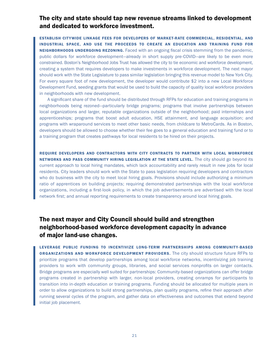## The city and state should tap new revenue streams linked to development and dedicated to workforce investment.

ESTABLISH CITYWIDE LINKAGE FEES FOR DEVELOPERS OF MARKET-RATE COMMERCIAL, RESIDENTIAL, AND INDUSTRIAL SPACE, AND USE THE PROCEEDS TO CREATE AN EDUCATION AND TRAINING FUND FOR NEIGHBORHOODS UNDERGOING REZONING. Faced with an ongoing fiscal crisis stemming from the pandemic, public dollars for workforce development—already in short supply pre-COVID—are likely to be even more constrained. Boston's Neighborhood Jobs Trust has allowed the city to tie economic and workforce development, creating a system that requires developers to make investments in workforce development. The next mayor should work with the State Legislature to pass similar legislation bringing this revenue model to New York City. For every square foot of new development, the developer would contribute \$2 into a new Local Workforce Development Fund, seeding grants that would be used to build the capacity of quality local workforce providers in neighborhoods with new development.

A significant share of the fund should be distributed through RFPs for education and training programs in neighborhoods being rezoned—particularly bridge programs; programs that involve partnerships between local organizations and larger, reputable organizations outside of the neighborhood; paid internships and apprenticeships; programs that boost adult education, HSE attainment, and language acquisition; and programs with wraparound services to meet other basic needs, from childcare to MetroCards. As in Boston, developers should be allowed to choose whether their fee goes to a general education and training fund or to a training program that creates pathways for local residents to be hired on their projects.

REQUIRE DEVELOPERS AND CONTRACTORS WITH CITY CONTRACTS TO PARTNER WITH LOCAL WORKFORCE NETWORKS AND PASS COMMUNITY HIRING LEGISLATION AT THE STATE LEVEL. The city should go beyond its current approach to local hiring mandates, which lack accountability and rarely result in new jobs for local residents. City leaders should work with the State to pass legislation requiring developers and contractors who do business with the city to meet local hiring goals. Provisions should include authorizing a minimum ratio of apprentices on building projects; requiring demonstrated partnerships with the local workforce organizations, including a first-look policy, in which the job advertisements are advertised with the local network first; and annual reporting requirements to create transparency around local hiring goals.

## The next mayor and City Council should build and strengthen neighborhood-based workforce development capacity in advance of major land-use changes.

LEVERAGE PUBLIC FUNDING TO INCENTIVIZE LONG-TERM PARTNERSHIPS AMONG COMMUNITY-BASED **ORGANIZATIONS AND WORKFORCE DEVELOPMENT PROVIDERS.** The city should structure future RFPs to prioritize programs that develop partnerships among local workforce networks, incentivizing job training providers to work with community groups, libraries, and social services nonprofits on larger contacts. Bridge programs are especially well suited for partnerships: Community-based organizations can offer bridge programs created in partnership with larger, non-local providers, creating onramps for participants to transition into in-depth education or training programs. Funding should be allocated for multiple years in order to allow organizations to build strong partnerships, plan quality programs, refine their approach after running several cycles of the program, and gather data on effectiveness and outcomes that extend beyond initial job placement.